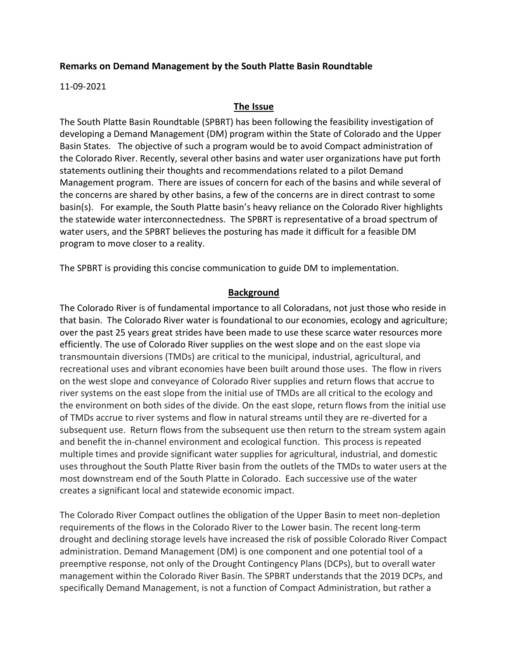## **Remarks on Demand Management by the South Platte Basin Roundtable**

11-09-2021

## **The Issue**

The South Platte Basin Roundtable (SPBRT) has been following the feasibility investigation of developing a Demand Management (DM) program within the State of Colorado and the Upper Basin States. The objective of such a program would be to avoid Compact administration of the Colorado River. Recently, several other basins and water user organizations have put forth statements outlining their thoughts and recommendations related to a pilot Demand Management program. There are issues of concern for each of the basins and while several of the concerns are shared by other basins, a few of the concerns are in direct contrast to some basin(s). For example, the South Platte basin's heavy reliance on the Colorado River highlights the statewide water interconnectedness. The SPBRT is representative of a broad spectrum of water users, and the SPBRT believes the posturing has made it difficult for a feasible DM program to move closer to a reality.

The SPBRT is providing this concise communication to guide DM to implementation.

## **Background**

The Colorado River is of fundamental importance to all Coloradans, not just those who reside in that basin. The Colorado River water is foundational to our economies, ecology and agriculture; over the past 25 years great strides have been made to use these scarce water resources more efficiently. The use of Colorado River supplies on the west slope and on the east slope via transmountain diversions (TMDs) are critical to the municipal, industrial, agricultural, and recreational uses and vibrant economies have been built around those uses. The flow in rivers on the west slope and conveyance of Colorado River supplies and return flows that accrue to river systems on the east slope from the initial use of TMDs are all critical to the ecology and the environment on both sides of the divide. On the east slope, return flows from the initial use of TMDs accrue to river systems and flow in natural streams until they are re-diverted for a subsequent use. Return flows from the subsequent use then return to the stream system again and benefit the in-channel environment and ecological function. This process is repeated multiple times and provide significant water supplies for agricultural, industrial, and domestic uses throughout the South Platte River basin from the outlets of the TMDs to water users at the most downstream end of the South Platte in Colorado. Each successive use of the water creates a significant local and statewide economic impact.

The Colorado River Compact outlines the obligation of the Upper Basin to meet non-depletion requirements of the flows in the Colorado River to the Lower basin. The recent long-term drought and declining storage levels have increased the risk of possible Colorado River Compact administration. Demand Management (DM) is one component and one potential tool of a preemptive response, not only of the Drought Contingency Plans (DCPs), but to overall water management within the Colorado River Basin. The SPBRT understands that the 2019 DCPs, and specifically Demand Management, is not a function of Compact Administration, but rather a